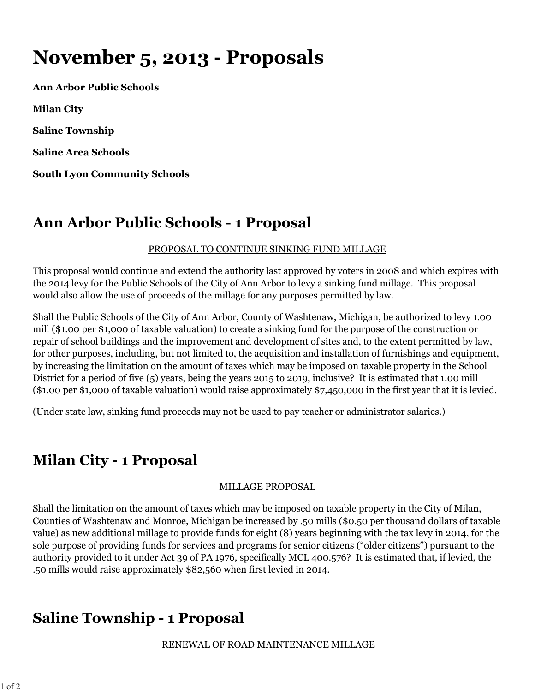# **November 5, 2013 - Proposals**

**Ann Arbor Public Schools Milan City Saline Township Saline Area Schools South Lyon Community Schools**

## **Ann Arbor Public Schools - 1 Proposal**

### PROPOSAL TO CONTINUE SINKING FUND MILLAGE

This proposal would continue and extend the authority last approved by voters in 2008 and which expires with the 2014 levy for the Public Schools of the City of Ann Arbor to levy a sinking fund millage. This proposal would also allow the use of proceeds of the millage for any purposes permitted by law.

Shall the Public Schools of the City of Ann Arbor, County of Washtenaw, Michigan, be authorized to levy 1.00 mill (\$1.00 per \$1,000 of taxable valuation) to create a sinking fund for the purpose of the construction or repair of school buildings and the improvement and development of sites and, to the extent permitted by law, for other purposes, including, but not limited to, the acquisition and installation of furnishings and equipment, by increasing the limitation on the amount of taxes which may be imposed on taxable property in the School District for a period of five (5) years, being the years 2015 to 2019, inclusive? It is estimated that 1.00 mill (\$1.00 per \$1,000 of taxable valuation) would raise approximately \$7,450,000 in the first year that it is levied.

(Under state law, sinking fund proceeds may not be used to pay teacher or administrator salaries.)

# **Milan City - 1 Proposal**

#### MILLAGE PROPOSAL

Shall the limitation on the amount of taxes which may be imposed on taxable property in the City of Milan, Counties of Washtenaw and Monroe, Michigan be increased by .50 mills (\$0.50 per thousand dollars of taxable value) as new additional millage to provide funds for eight (8) years beginning with the tax levy in 2014, for the sole purpose of providing funds for services and programs for senior citizens ("older citizens") pursuant to the authority provided to it under Act 39 of PA 1976, specifically MCL 400.576? It is estimated that, if levied, the .50 mills would raise approximately \$82,560 when first levied in 2014.

## **Saline Township - 1 Proposal**

RENEWAL OF ROAD MAINTENANCE MILLAGE